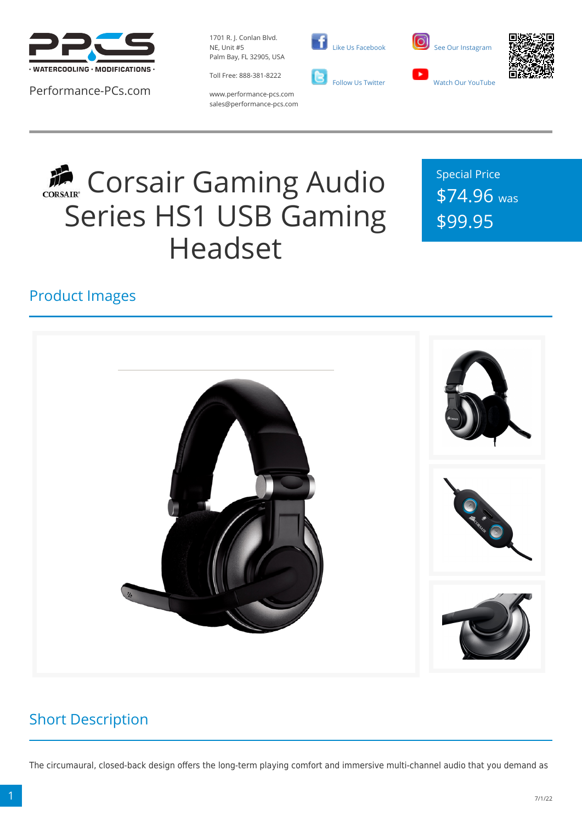

Performance-PCs.com

1701 R. J. Conlan Blvd. NE, Unit #5 Palm Bay, FL 32905, USA



 [Like Us Facebook](https://www.facebook.com/PerformancePCs)  [Follow Us Twitter](https://twitter.com/PerformancePCs)





www.performance-pcs.com sales@performance-pcs.com

# **COLLEGER** Corsair Gaming Audio Series HS1 USB Gaming Headset

Special Price \$74.96 was \$99.95

## Product Images



### Short Description

The circumaural, closed-back design offers the long-term playing comfort and immersive multi-channel audio that you demand as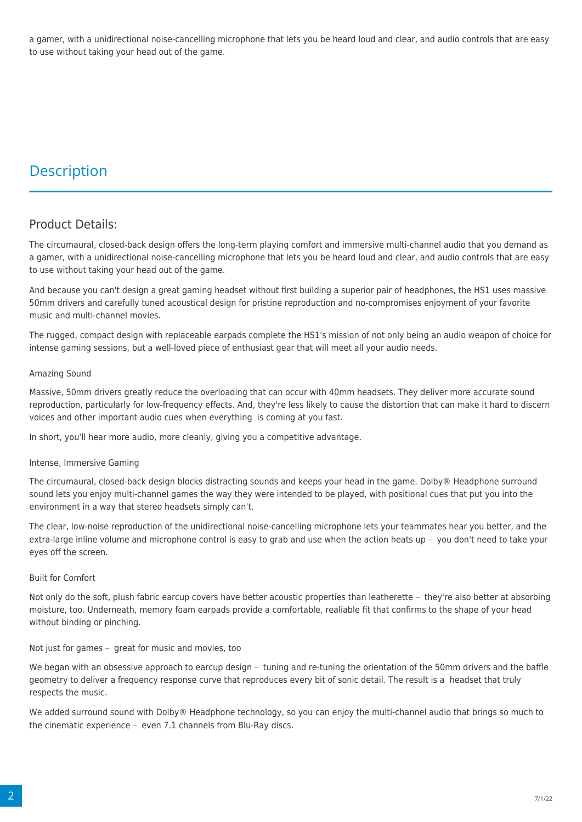a gamer, with a unidirectional noise-cancelling microphone that lets you be heard loud and clear, and audio controls that are easy to use without taking your head out of the game.

### **Description**

### Product Details:

The circumaural, closed-back design offers the long-term playing comfort and immersive multi-channel audio that you demand as a gamer, with a unidirectional noise-cancelling microphone that lets you be heard loud and clear, and audio controls that are easy to use without taking your head out of the game.

And because you can't design a great gaming headset without first building a superior pair of headphones, the HS1 uses massive 50mm drivers and carefully tuned acoustical design for pristine reproduction and no-compromises enjoyment of your favorite music and multi-channel movies.

The rugged, compact design with replaceable earpads complete the HS1's mission of not only being an audio weapon of choice for intense gaming sessions, but a well-loved piece of enthusiast gear that will meet all your audio needs.

#### Amazing Sound

Massive, 50mm drivers greatly reduce the overloading that can occur with 40mm headsets. They deliver more accurate sound reproduction, particularly for low-frequency effects. And, they're less likely to cause the distortion that can make it hard to discern voices and other important audio cues when everything is coming at you fast.

In short, you'll hear more audio, more cleanly, giving you a competitive advantage.

#### Intense, Immersive Gaming

The circumaural, closed-back design blocks distracting sounds and keeps your head in the game. Dolby® Headphone surround sound lets you enjoy multi-channel games the way they were intended to be played, with positional cues that put you into the environment in a way that stereo headsets simply can't.

The clear, low-noise reproduction of the unidirectional noise-cancelling microphone lets your teammates hear you better, and the extra-large inline volume and microphone control is easy to grab and use when the action heats up  $-$  you don't need to take your eyes off the screen.

#### Built for Comfort

Not only do the soft, plush fabric earcup covers have better acoustic properties than leatherette  $-$  they're also better at absorbing moisture, too. Underneath, memory foam earpads provide a comfortable, realiable fit that confirms to the shape of your head without binding or pinching.

#### Not just for games  $-$  great for music and movies, too

We began with an obsessive approach to earcup design  $-$  tuning and re-tuning the orientation of the 50mm drivers and the baffle geometry to deliver a frequency response curve that reproduces every bit of sonic detail. The result is a headset that truly respects the music.

We added surround sound with Dolby® Headphone technology, so you can enjoy the multi-channel audio that brings so much to the cinematic experience  $-$  even 7.1 channels from Blu-Ray discs.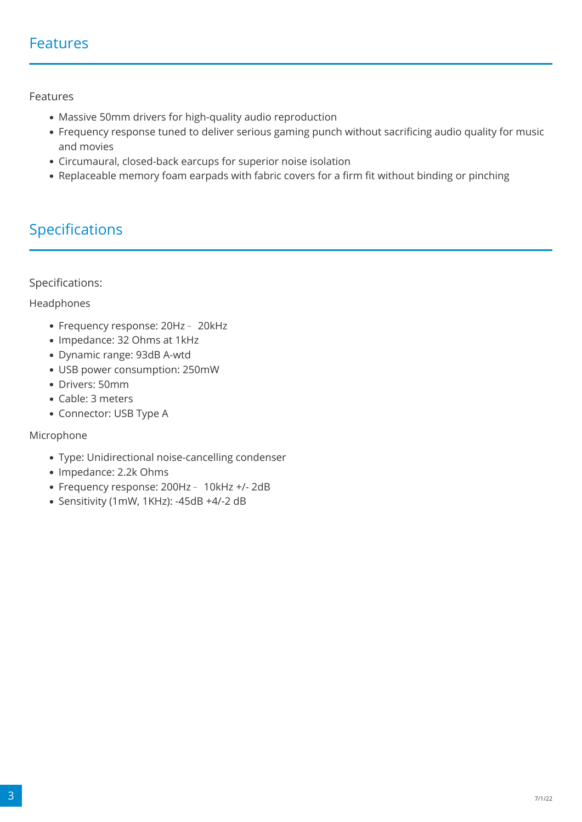### Features

Features

- Massive 50mm drivers for high-quality audio reproduction
- Frequency response tuned to deliver serious gaming punch without sacrificing audio quality for music and movies
- Circumaural, closed-back earcups for superior noise isolation
- Replaceable memory foam earpads with fabric covers for a firm fit without binding or pinching

### Specifications

Specifications:

Headphones

- Frequency response: 20Hz 20kHz
- Impedance: 32 Ohms at 1kHz
- Dynamic range: 93dB A-wtd
- USB power consumption: 250mW
- Drivers: 50mm
- Cable: 3 meters
- Connector: USB Type A

### Microphone

- Type: Unidirectional noise-cancelling condenser
- Impedance: 2.2k Ohms
- Frequency response: 200Hz 10kHz +/- 2dB
- Sensitivity (1mW, 1KHz): -45dB +4/-2 dB